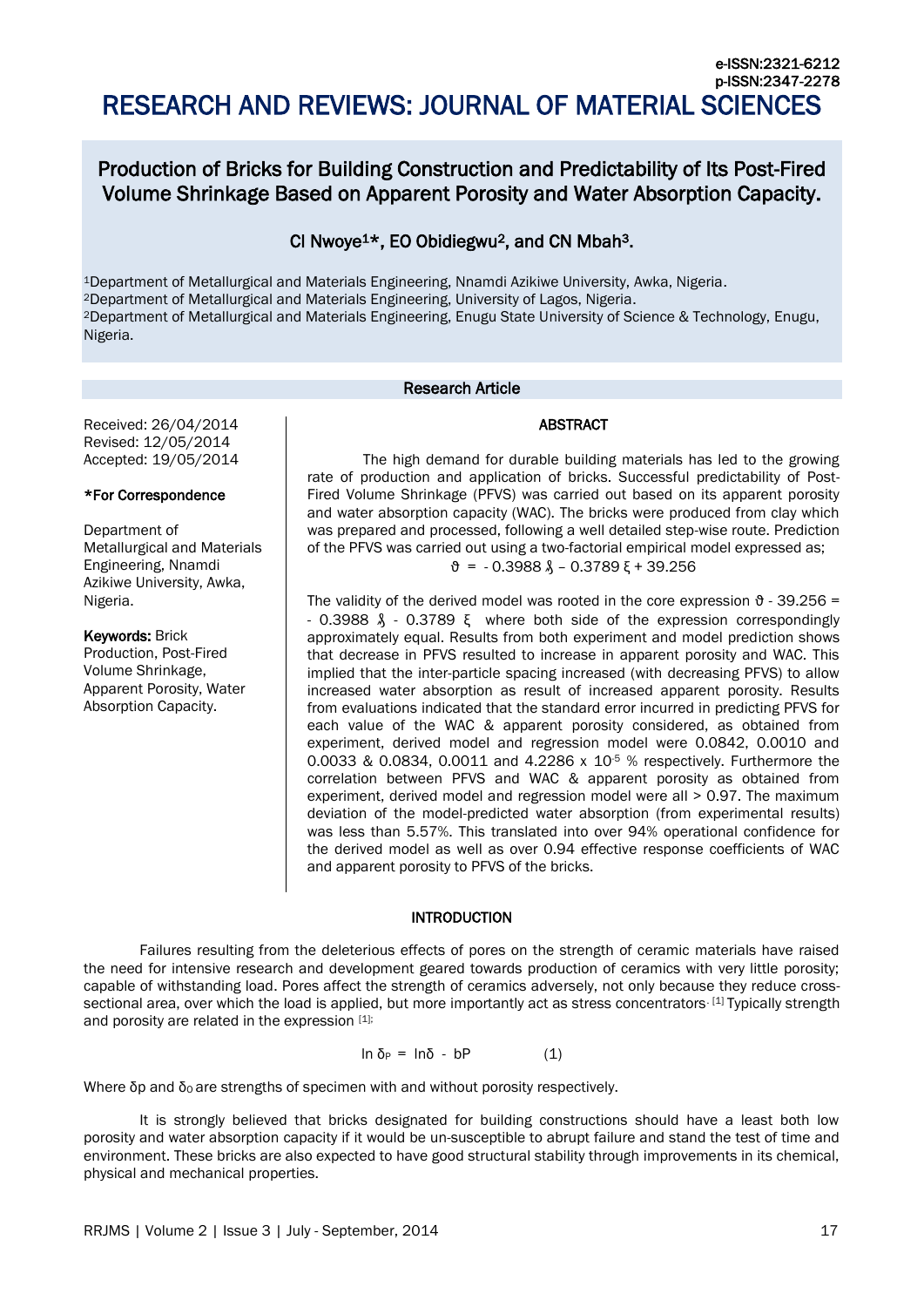# Production of Bricks for Building Construction and Predictability of Its Post-Fired Volume Shrinkage Based on Apparent Porosity and Water Absorption Capacity.

# CI Nwoye1\*, EO Obidiegwu2, and CN Mbah3.

Department of Metallurgical and Materials Engineering, Nnamdi Azikiwe University, Awka, Nigeria. Department of Metallurgical and Materials Engineering, University of Lagos, Nigeria. Department of Metallurgical and Materials Engineering, Enugu State University of Science & Technology, Enugu, Nigeria.

# Research Article

Received: 26/04/2014 Revised: 12/05/2014 Accepted: 19/05/2014

# \*For Correspondence

Department of Metallurgical and Materials Engineering, Nnamdi Azikiwe University, Awka, Nigeria.

Keywords: Brick Production, Post-Fired Volume Shrinkage, Apparent Porosity, Water Absorption Capacity.

# ABSTRACT

The high demand for durable building materials has led to the growing rate of production and application of bricks. Successful predictability of Post-Fired Volume Shrinkage (PFVS) was carried out based on its apparent porosity and water absorption capacity (WAC). The bricks were produced from clay which was prepared and processed, following a well detailed step-wise route. Prediction of the PFVS was carried out using a two-factorial empirical model expressed as;  $\theta = -0.3988 \lambda - 0.3789 \xi + 39.256$ 

The validity of the derived model was rooted in the core expression  $\vartheta$  - 39.256 = - 0.3988 ₰ - 0.3789 ξ where both side of the expression correspondingly approximately equal. Results from both experiment and model prediction shows that decrease in PFVS resulted to increase in apparent porosity and WAC. This implied that the inter-particle spacing increased (with decreasing PFVS) to allow increased water absorption as result of increased apparent porosity. Results from evaluations indicated that the standard error incurred in predicting PFVS for each value of the WAC & apparent porosity considered, as obtained from experiment, derived model and regression model were 0.0842, 0.0010 and 0.0033 & 0.0834, 0.0011 and 4.2286 x 10<sup>-5</sup> % respectively. Furthermore the correlation between PFVS and WAC & apparent porosity as obtained from experiment, derived model and regression model were all > 0.97. The maximum deviation of the model-predicted water absorption (from experimental results) was less than 5.57%. This translated into over 94% operational confidence for the derived model as well as over 0.94 effective response coefficients of WAC and apparent porosity to PFVS of the bricks.

# INTRODUCTION

Failures resulting from the deleterious effects of pores on the strength of ceramic materials have raised the need for intensive research and development geared towards production of ceramics with very little porosity; capable of withstanding load. Pores affect the strength of ceramics adversely, not only because they reduce crosssectional area, over which the load is applied, but more importantly act as stress concentrators. [1] Typically strength and porosity are related in the expression [1];

 $ln δ_P = lnδ - bP$  (1)

Where  $\delta p$  and  $\delta o$  are strengths of specimen with and without porosity respectively.

It is strongly believed that bricks designated for building constructions should have a least both low porosity and water absorption capacity if it would be un-susceptible to abrupt failure and stand the test of time and environment. These bricks are also expected to have good structural stability through improvements in its chemical, physical and mechanical properties.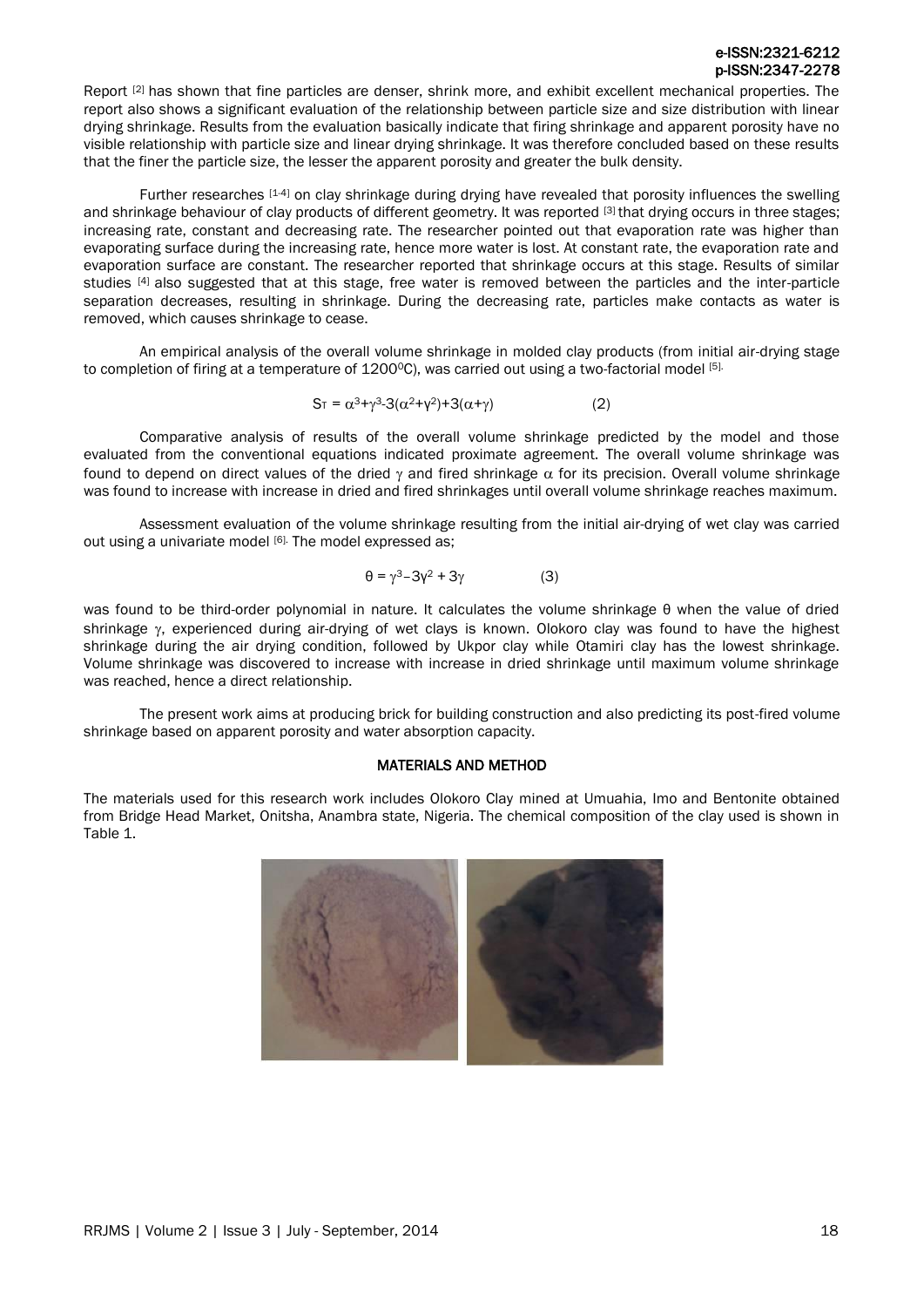# e-ISSN:2321-6212 p-ISSN:2347-2278

Report [2] has shown that fine particles are denser, shrink more, and exhibit excellent mechanical properties. The report also shows a significant evaluation of the relationship between particle size and size distribution with linear drying shrinkage. Results from the evaluation basically indicate that firing shrinkage and apparent porosity have no visible relationship with particle size and linear drying shrinkage. It was therefore concluded based on these results that the finer the particle size, the lesser the apparent porosity and greater the bulk density.

Further researches [1-4] on clay shrinkage during drying have revealed that porosity influences the swelling and shrinkage behaviour of clay products of different geometry. It was reported [3] that drying occurs in three stages; increasing rate, constant and decreasing rate. The researcher pointed out that evaporation rate was higher than evaporating surface during the increasing rate, hence more water is lost. At constant rate, the evaporation rate and evaporation surface are constant. The researcher reported that shrinkage occurs at this stage. Results of similar studies [4] also suggested that at this stage, free water is removed between the particles and the inter-particle separation decreases, resulting in shrinkage. During the decreasing rate, particles make contacts as water is removed, which causes shrinkage to cease.

An empirical analysis of the overall volume shrinkage in molded clay products (from initial air-drying stage to completion of firing at a temperature of 1200<sup>o</sup>C), was carried out using a two-factorial model [5].

$$
S_{T} = \alpha^{3} + \gamma^{3} - 3(\alpha^{2} + \gamma^{2}) + 3(\alpha + \gamma)
$$
 (2)

Comparative analysis of results of the overall volume shrinkage predicted by the model and those evaluated from the conventional equations indicated proximate agreement. The overall volume shrinkage was found to depend on direct values of the dried  $\gamma$  and fired shrinkage  $\alpha$  for its precision. Overall volume shrinkage was found to increase with increase in dried and fired shrinkages until overall volume shrinkage reaches maximum.

Assessment evaluation of the volume shrinkage resulting from the initial air-drying of wet clay was carried out using a univariate model [6]. The model expressed as;

$$
\theta = \gamma^3 - 3\gamma^2 + 3\gamma \tag{3}
$$

was found to be third-order polynomial in nature. It calculates the volume shrinkage θ when the value of dried shrinkage  $\gamma$ , experienced during air-drying of wet clays is known. Olokoro clay was found to have the highest shrinkage during the air drying condition, followed by Ukpor clay while Otamiri clay has the lowest shrinkage. Volume shrinkage was discovered to increase with increase in dried shrinkage until maximum volume shrinkage was reached, hence a direct relationship.

The present work aims at producing brick for building construction and also predicting its post-fired volume shrinkage based on apparent porosity and water absorption capacity.

# MATERIALS AND METHOD

The materials used for this research work includes Olokoro Clay mined at Umuahia, Imo and Bentonite obtained from Bridge Head Market, Onitsha, Anambra state, Nigeria. The chemical composition of the clay used is shown in Table 1.

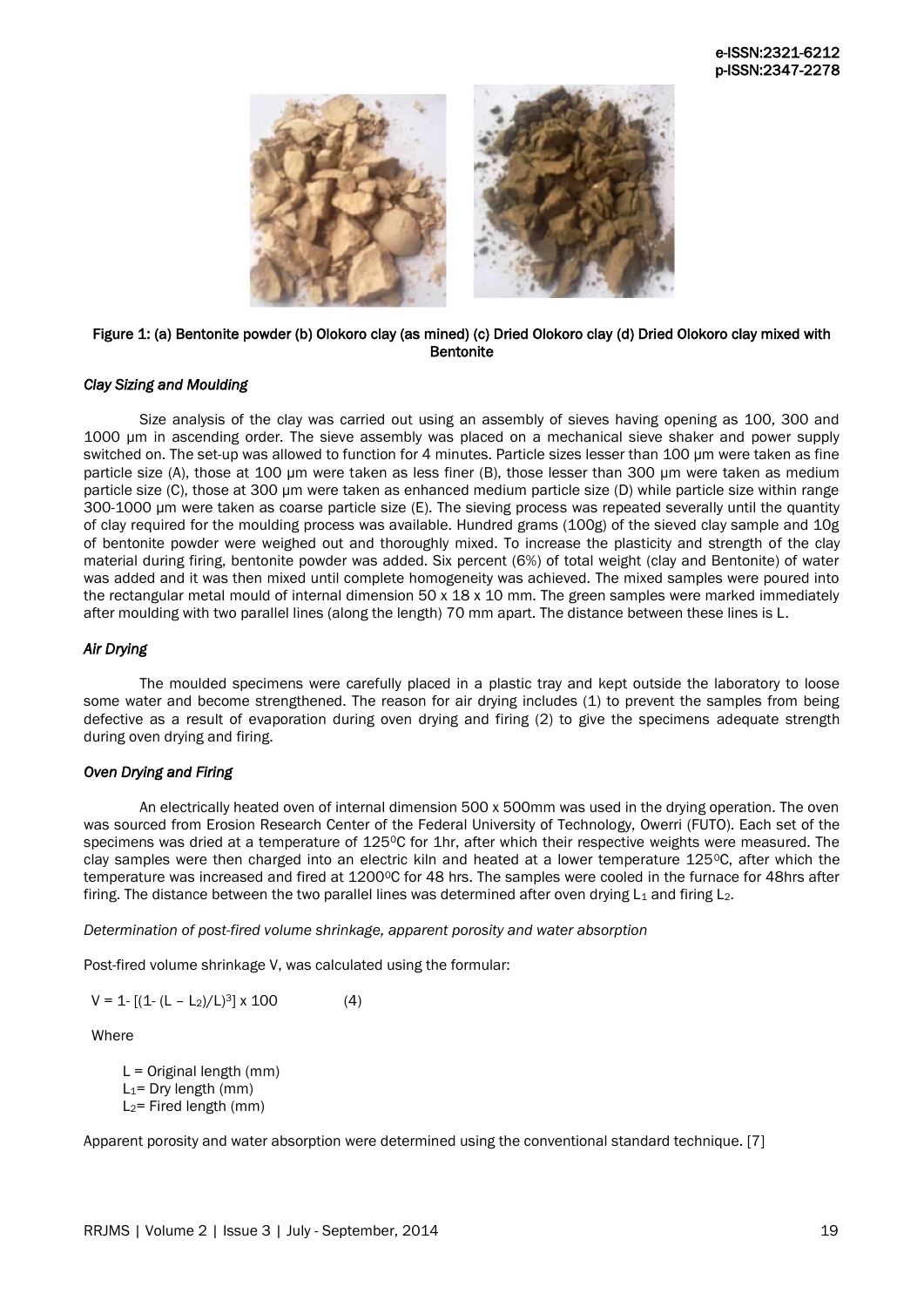

# Figure 1: (a) Bentonite powder (b) Olokoro clay (as mined) (c) Dried Olokoro clay (d) Dried Olokoro clay mixed with **Bentonite**

# *Clay Sizing and Moulding*

Size analysis of the clay was carried out using an assembly of sieves having opening as 100, 300 and 1000 μm in ascending order. The sieve assembly was placed on a mechanical sieve shaker and power supply switched on. The set-up was allowed to function for 4 minutes. Particle sizes lesser than 100 μm were taken as fine particle size (A), those at 100 μm were taken as less finer (B), those lesser than 300 μm were taken as medium particle size (C), those at 300 μm were taken as enhanced medium particle size (D) while particle size within range 300-1000 μm were taken as coarse particle size (E). The sieving process was repeated severally until the quantity of clay required for the moulding process was available. Hundred grams (100g) of the sieved clay sample and 10g of bentonite powder were weighed out and thoroughly mixed. To increase the plasticity and strength of the clay material during firing, bentonite powder was added. Six percent (6%) of total weight (clay and Bentonite) of water was added and it was then mixed until complete homogeneity was achieved. The mixed samples were poured into the rectangular metal mould of internal dimension 50 x 18 x 10 mm. The green samples were marked immediately after moulding with two parallel lines (along the length) 70 mm apart. The distance between these lines is L.

# *Air Drying*

The moulded specimens were carefully placed in a plastic tray and kept outside the laboratory to loose some water and become strengthened. The reason for air drying includes (1) to prevent the samples from being defective as a result of evaporation during oven drying and firing (2) to give the specimens adequate strength during oven drying and firing.

# *Oven Drying and Firing*

An electrically heated oven of internal dimension 500 x 500mm was used in the drying operation. The oven was sourced from Erosion Research Center of the Federal University of Technology, Owerri (FUTO). Each set of the specimens was dried at a temperature of 125°C for 1hr, after which their respective weights were measured. The clay samples were then charged into an electric kiln and heated at a lower temperature 1250C, after which the temperature was increased and fired at 1200°C for 48 hrs. The samples were cooled in the furnace for 48hrs after firing. The distance between the two parallel lines was determined after oven drying  $L_1$  and firing  $L_2$ .

*Determination of post-fired volume shrinkage, apparent porosity and water absorption*

Post-fired volume shrinkage V, was calculated using the formular:

 $V = 1 - [(1 - (L - L_2)/L)^3] \times 100$  (4)

Where

 $L =$  Original length (mm)  $L_1$ = Dry length (mm)  $L_2$ = Fired length (mm)

Apparent porosity and water absorption were determined using the conventional standard technique. [7]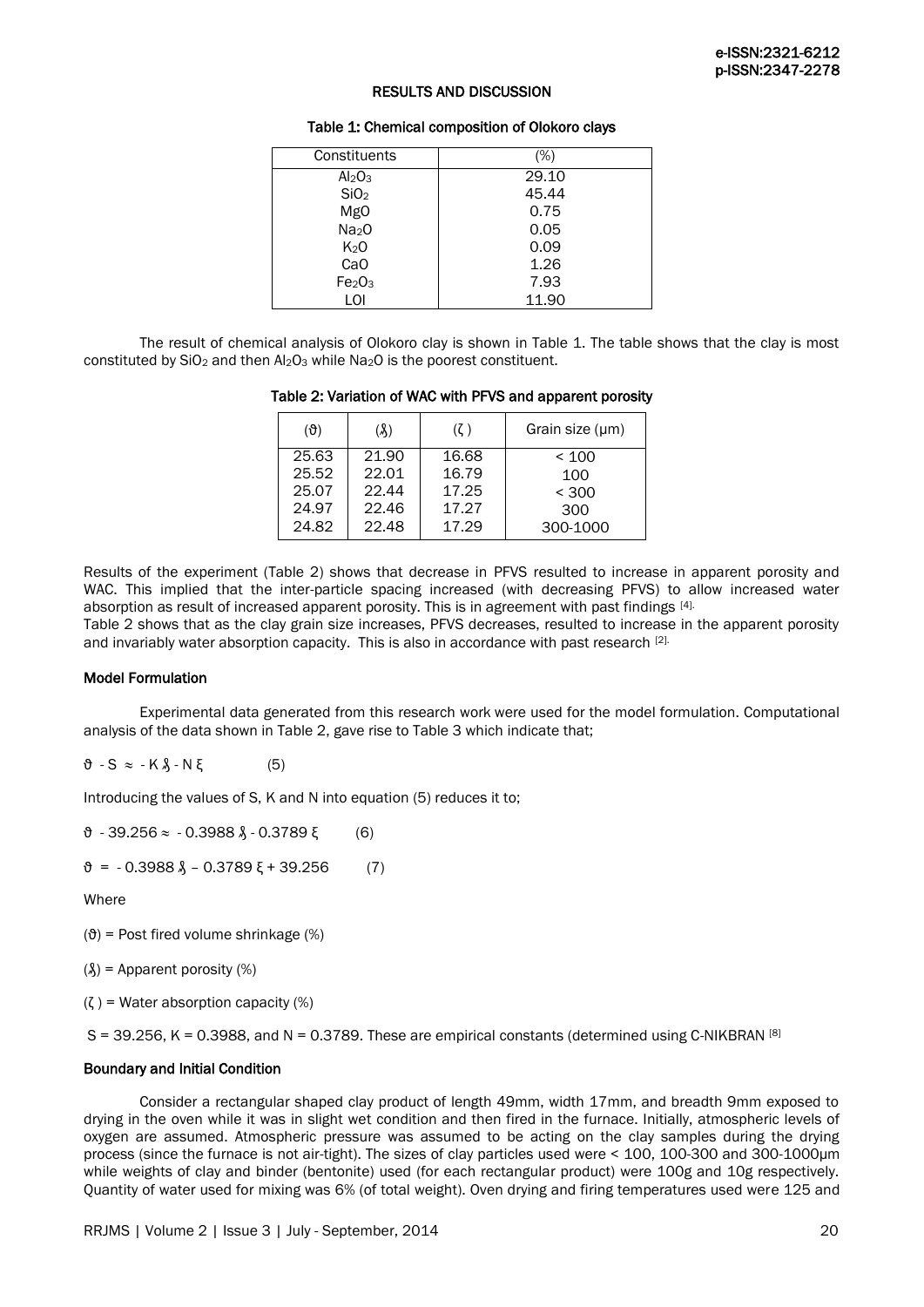# RESULTS AND DISCUSSION

#### Table 1: Chemical composition of Olokoro clays

| Constituents                   | $(\%)$ |
|--------------------------------|--------|
| Al <sub>2</sub> O <sub>3</sub> | 29.10  |
| SiO <sub>2</sub>               | 45.44  |
| <b>MgO</b>                     | 0.75   |
| Na <sub>2</sub> O              | 0.05   |
| K <sub>2</sub> O               | 0.09   |
| Ca <sub>O</sub>                | 1.26   |
| Fe <sub>2</sub> O <sub>3</sub> | 7.93   |
| LOI                            | 11.90  |

The result of chemical analysis of Olokoro clay is shown in Table 1. The table shows that the clay is most constituted by SiO<sub>2</sub> and then Al<sub>2</sub>O<sub>3</sub> while Na<sub>2</sub>O is the poorest constituent.

#### Table 2: Variation of WAC with PFVS and apparent porosity

| $(\vartheta)$ | (X)   | $(\zeta)$ | Grain size $(\mu m)$ |
|---------------|-------|-----------|----------------------|
| 25.63         | 21.90 | 16.68     | < 100                |
| 25.52         | 22.01 | 16.79     | 100                  |
| 25.07         | 22.44 | 17.25     | < 300                |
| 24.97         | 22.46 | 17.27     | 300                  |
| 24.82         | 22.48 | 17.29     | 300-1000             |

Results of the experiment (Table 2) shows that decrease in PFVS resulted to increase in apparent porosity and WAC. This implied that the inter-particle spacing increased (with decreasing PFVS) to allow increased water absorption as result of increased apparent porosity. This is in agreement with past findings [4].

Table 2 shows that as the clay grain size increases, PFVS decreases, resulted to increase in the apparent porosity and invariably water absorption capacity. This is also in accordance with past research [2].

# Model Formulation

Experimental data generated from this research work were used for the model formulation. Computational analysis of the data shown in Table 2, gave rise to Table 3 which indicate that;

 $\vartheta$  - S  $\approx$  - K  $\lambda$  - N  $\xi$  (5)

Introducing the values of S, K and N into equation (5) reduces it to;

 $\theta$  - 39.256  $\approx$  - 0.3988  $\lambda$  - 0.3789 ξ (6)

 $\vartheta = -0.3988 \lambda - 0.3789 \xi + 39.256$  (7)

**Where** 

 $(\vartheta)$  = Post fired volume shrinkage (%)

 $(\lambda)$  = Apparent porosity  $(\%)$ 

 $(\zeta)$  = Water absorption capacity (%)

 $S = 39.256$ , K = 0.3988, and N = 0.3789. These are empirical constants (determined using C-NIKBRAN [8]

#### Boundary and Initial Condition

Consider a rectangular shaped clay product of length 49mm, width 17mm, and breadth 9mm exposed to drying in the oven while it was in slight wet condition and then fired in the furnace. Initially, atmospheric levels of oxygen are assumed. Atmospheric pressure was assumed to be acting on the clay samples during the drying process (since the furnace is not air-tight). The sizes of clay particles used were < 100, 100-300 and 300-1000μm while weights of clay and binder (bentonite) used (for each rectangular product) were 100g and 10g respectively. Quantity of water used for mixing was 6% (of total weight). Oven drying and firing temperatures used were 125 and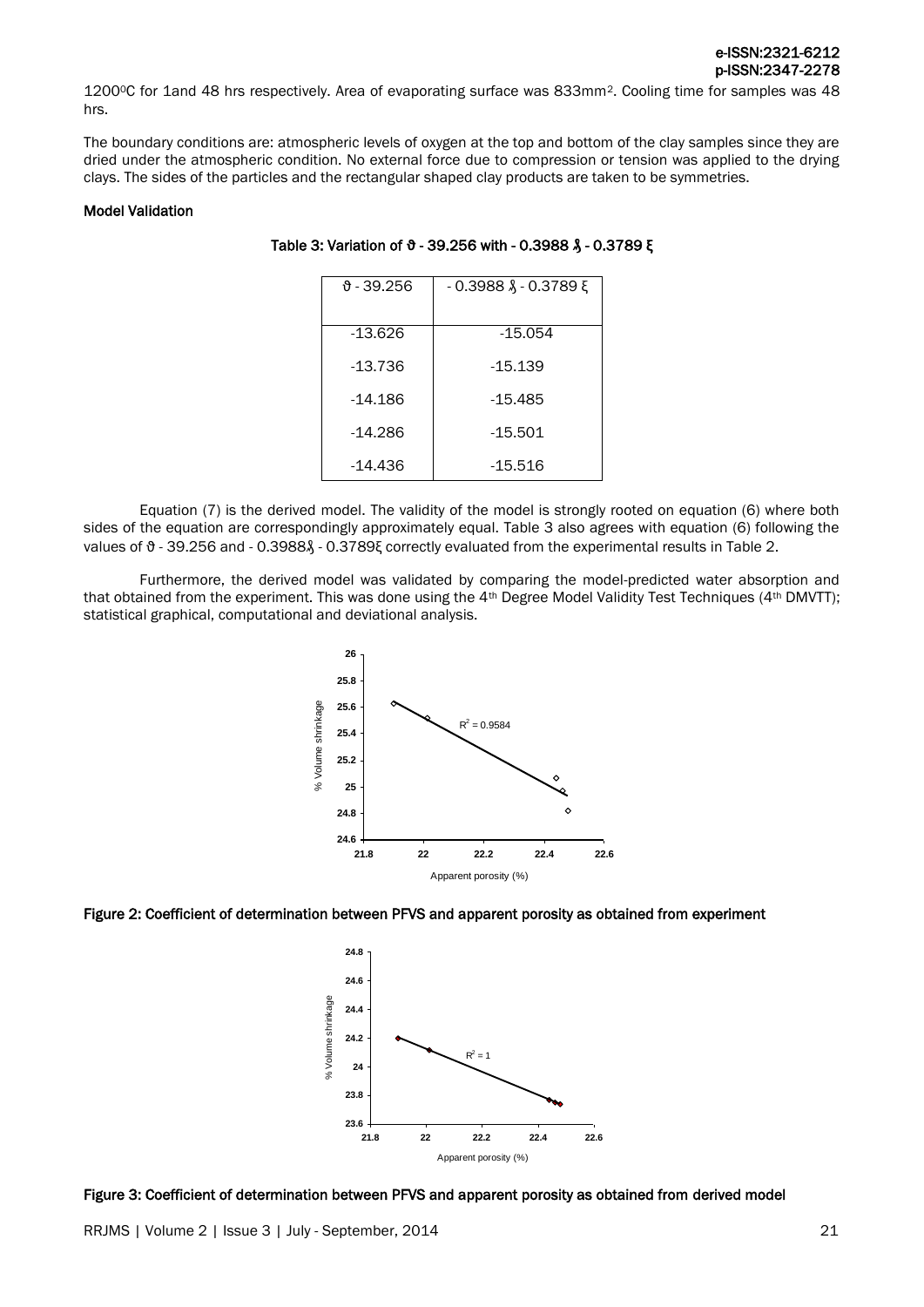12000C for 1and 48 hrs respectively. Area of evaporating surface was 833mm2. Cooling time for samples was 48 hrs.

The boundary conditions are: atmospheric levels of oxygen at the top and bottom of the clay samples since they are dried under the atmospheric condition. No external force due to compression or tension was applied to the drying clays. The sides of the particles and the rectangular shaped clay products are taken to be symmetries.

#### Model Validation

#### Table 3: Variation of **ϑ** - 39.256 with - 0.3988 **₰** - 0.3789 ξ

| მ - 39.256 | $-0.3988$ Å $-0.3789$ E |
|------------|-------------------------|
| $-13.626$  | $-15.054$               |
| -13.736    | -15.139                 |
| -14.186    | $-15.485$               |
| -14.286    | $-15.501$               |
| -14.436    | -15.516                 |

Equation (7) is the derived model. The validity of the model is strongly rooted on equation (6) where both sides of the equation are correspondingly approximately equal. Table 3 also agrees with equation (6) following the values of θ - 39.256 and - 0.3988 $\lambda$  - 0.3789ξ correctly evaluated from the experimental results in Table 2.

Furthermore, the derived model was validated by comparing the model-predicted water absorption and that obtained from the experiment. This was done using the 4<sup>th</sup> Degree Model Validity Test Techniques (4<sup>th</sup> DMVTT); statistical graphical, computational and deviational analysis.







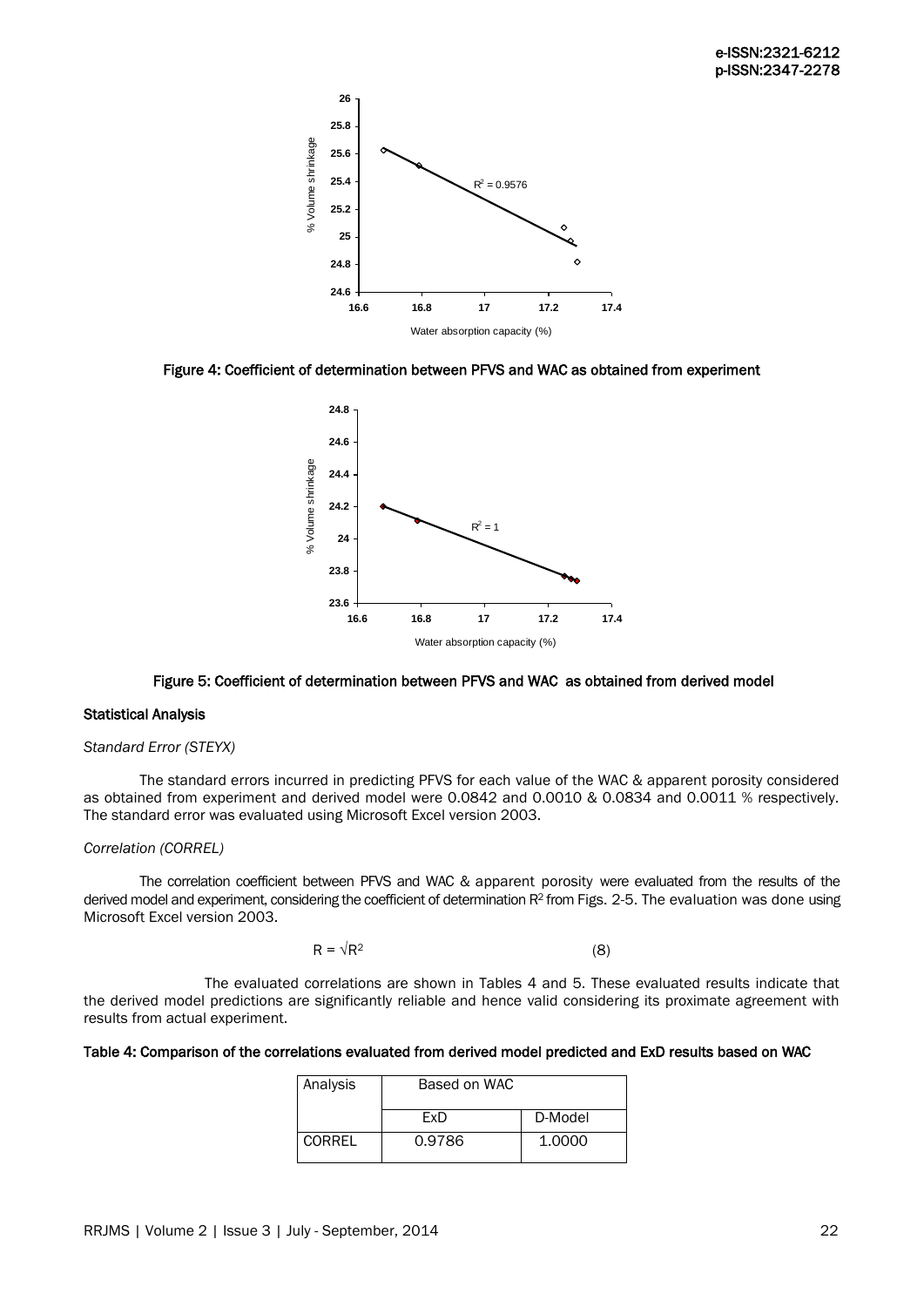

Figure 4: Coefficient of determination between PFVS and WAC as obtained from experiment



#### Figure 5: Coefficient of determination between PFVS and WAC as obtained from derived model

# Statistical Analysis

#### *Standard Error (STEYX)*

The standard errors incurred in predicting PFVS for each value of the WAC & apparent porosity considered as obtained from experiment and derived model were 0.0842 and 0.0010 & 0.0834 and 0.0011 % respectively. The standard error was evaluated using Microsoft Excel version 2003.

# *Correlation (CORREL)*

The correlation coefficient between PFVS and WAC & apparent porosity were evaluated from the results of the derived model and experiment, considering the coefficient of determination R<sup>2</sup> from Figs. 2-5. The evaluation was done using Microsoft Excel version 2003.

$$
R = \sqrt{R^2} \tag{8}
$$

The evaluated correlations are shown in Tables 4 and 5. These evaluated results indicate that the derived model predictions are significantly reliable and hence valid considering its proximate agreement with results from actual experiment.

| Table 4: Comparison of the correlations evaluated from derived model predicted and ExD results based on WAC |  |  |  |
|-------------------------------------------------------------------------------------------------------------|--|--|--|
|-------------------------------------------------------------------------------------------------------------|--|--|--|

| Analysis | Based on WAC |         |
|----------|--------------|---------|
|          | FxD          | D-Model |
| CORREL   | 0.9786       | 1.0000  |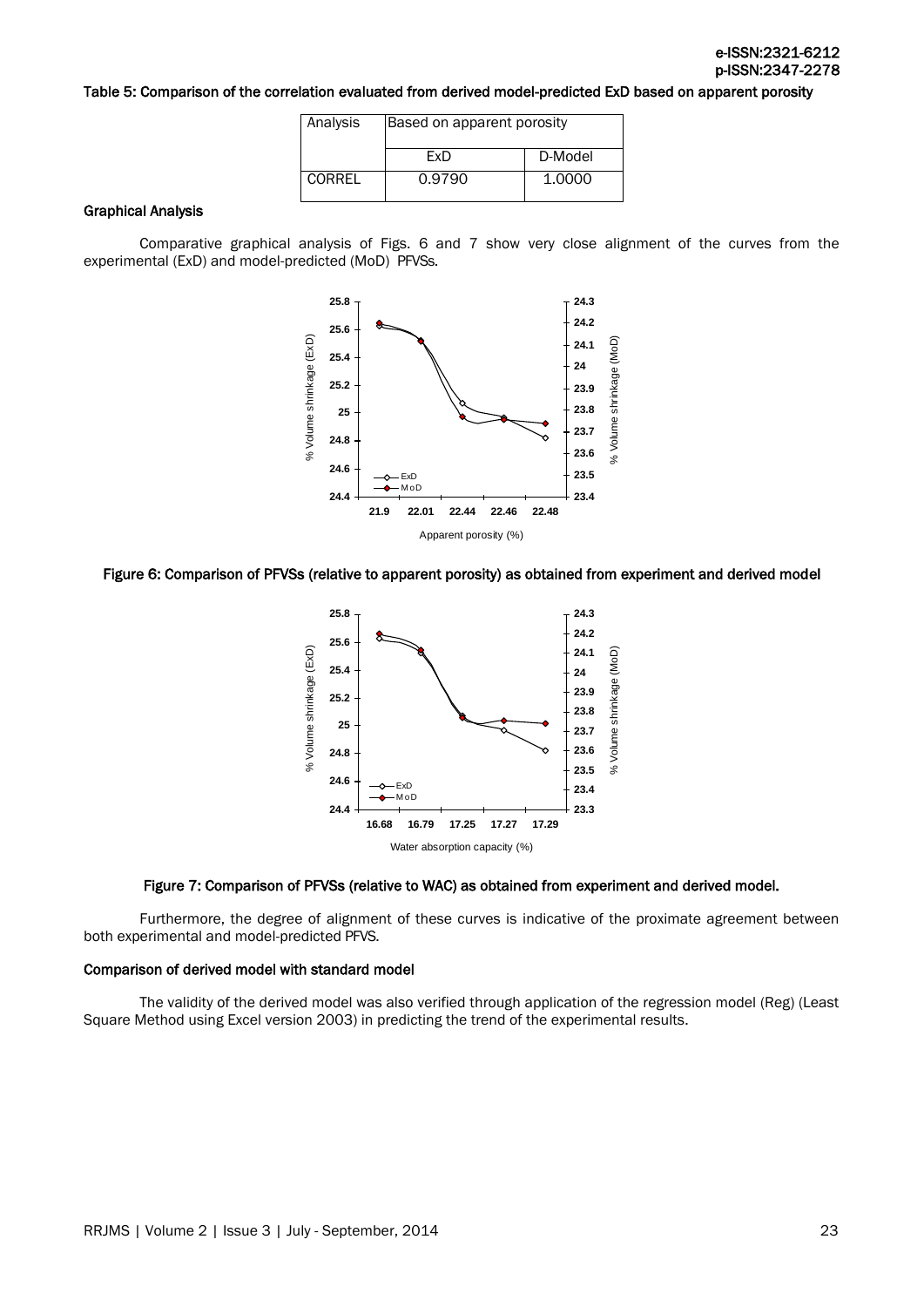# Table 5: Comparison of the correlation evaluated from derived model-predicted ExD based on apparent porosity

| Analysis | Based on apparent porosity |         |  |
|----------|----------------------------|---------|--|
|          | FxD                        | D-Model |  |
| CORREL   | 0.9790                     | 1.0000  |  |

#### Graphical Analysis

Comparative graphical analysis of Figs. 6 and 7 show very close alignment of the curves from the experimental (ExD) and model-predicted (MoD) PFVSs.



#### Figure 6: Comparison of PFVSs (relative to apparent porosity) as obtained from experiment and derived model



#### Figure 7: Comparison of PFVSs (relative to WAC) as obtained from experiment and derived model.

Furthermore, the degree of alignment of these curves is indicative of the proximate agreement between both experimental and model-predicted PFVS.

# Comparison of derived model with standard model

The validity of the derived model was also verified through application of the regression model (Reg) (Least Square Method using Excel version 2003) in predicting the trend of the experimental results.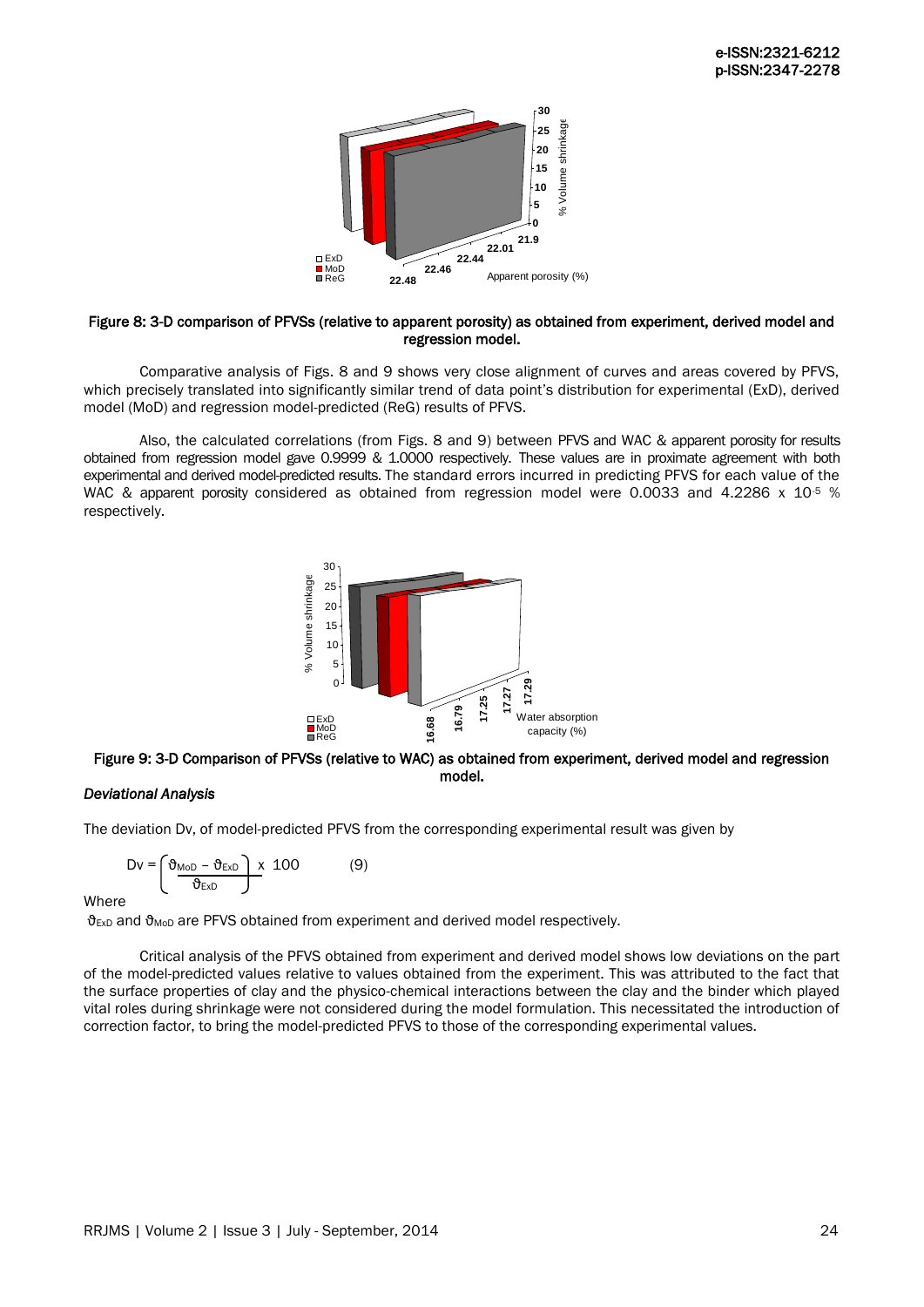

#### Figure 8: 3-D comparison of PFVSs (relative to apparent porosity) as obtained from experiment, derived model and regression model.

Comparative analysis of Figs. 8 and 9 shows very close alignment of curves and areas covered by PFVS, which precisely translated into significantly similar trend of data point's distribution for experimental (ExD), derived model (MoD) and regression model-predicted (ReG) results of PFVS.

Also, the calculated correlations (from Figs. 8 and 9) between PFVS and WAC & apparent porosity for results obtained from regression model gave 0.9999 & 1.0000 respectively. These values are in proximate agreement with both experimental and derived model-predicted results. The standard errors incurred in predicting PFVS for each value of the WAC & apparent porosity considered as obtained from regression model were 0.0033 and 4.2286 x 10<sup>-5</sup> % respectively.



# Figure 9: 3-D Comparison of PFVSs (relative to WAC) as obtained from experiment, derived model and regression model.

# *Deviational Analysis*

The deviation Dv, of model-predicted PFVS from the corresponding experimental result was given by

$$
Dv = \left(\frac{\vartheta_{\text{MoD}} - \vartheta_{\text{ExD}}}{\vartheta_{\text{ExD}}}\right) \times 100 \tag{9}
$$

**Where** 

 $\theta_{Exp}$  and  $\theta_{MoD}$  are PFVS obtained from experiment and derived model respectively.

Critical analysis of the PFVS obtained from experiment and derived model shows low deviations on the part of the model-predicted values relative to values obtained from the experiment. This was attributed to the fact that the surface properties of clay and the physico-chemical interactions between the clay and the binder which played vital roles during shrinkage were not considered during the model formulation. This necessitated the introduction of correction factor, to bring the model-predicted PFVS to those of the corresponding experimental values.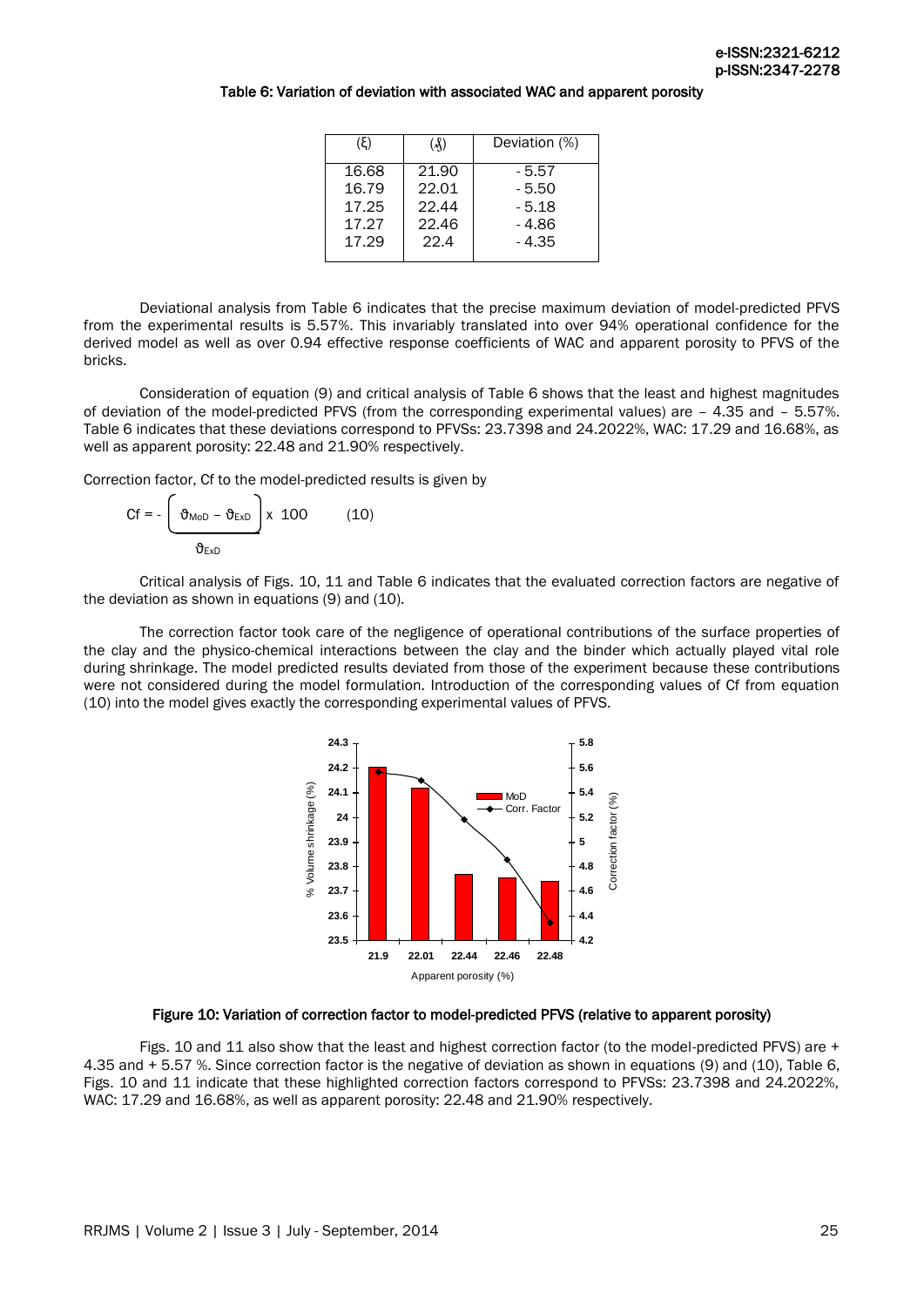# Table 6: Variation of deviation with associated WAC and apparent porosity

| (X)   | Deviation (%) |
|-------|---------------|
| 21.90 | - 5.57        |
| 22.01 | $-5.50$       |
| 22.44 | $-5.18$       |
| 22.46 | - 4.86        |
| 22.4  | $-4.35$       |
|       |               |

Deviational analysis from Table 6 indicates that the precise maximum deviation of model-predicted PFVS from the experimental results is 5.57%. This invariably translated into over 94% operational confidence for the derived model as well as over 0.94 effective response coefficients of WAC and apparent porosity to PFVS of the bricks.

Consideration of equation (9) and critical analysis of Table 6 shows that the least and highest magnitudes of deviation of the model-predicted PFVS (from the corresponding experimental values) are – 4.35 and – 5.57%. Table 6 indicates that these deviations correspond to PFVSs: 23.7398 and 24.2022%, WAC: 17.29 and 16.68%, as well as apparent porosity: 22.48 and 21.90% respectively.

Correction factor, Cf to the model-predicted results is given by

$$
Cf = -\left(\frac{\vartheta_{\text{MoD}} - \vartheta_{\text{EXD}}}{\vartheta_{\text{EXD}}}\right) \times 100 \tag{10}
$$

Critical analysis of Figs. 10, 11 and Table 6 indicates that the evaluated correction factors are negative of the deviation as shown in equations  $(9)$  and  $(10)$ .

The correction factor took care of the negligence of operational contributions of the surface properties of the clay and the physico-chemical interactions between the clay and the binder which actually played vital role during shrinkage. The model predicted results deviated from those of the experiment because these contributions were not considered during the model formulation. Introduction of the corresponding values of Cf from equation (10) into the model gives exactly the corresponding experimental values of PFVS.



#### Figure 10: Variation of correction factor to model-predicted PFVS (relative to apparent porosity)

Figs. 10 and 11 also show that the least and highest correction factor (to the model-predicted PFVS) are + 4.35 and + 5.57 %. Since correction factor is the negative of deviation as shown in equations (9) and (10), Table 6, Figs. 10 and 11 indicate that these highlighted correction factors correspond to PFVSs: 23.7398 and 24.2022%, WAC: 17.29 and 16.68%, as well as apparent porosity: 22.48 and 21.90% respectively.